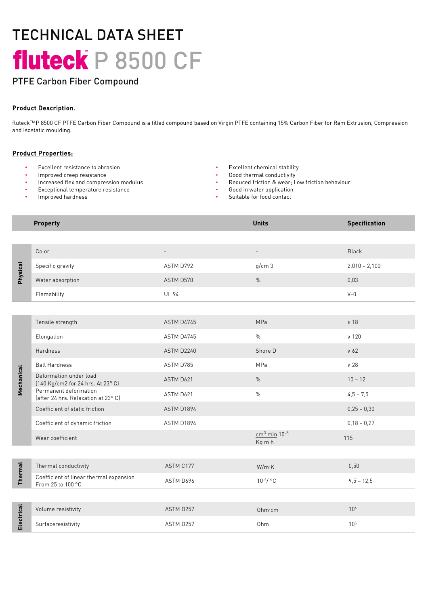# TECHNICAL DATA SHEET fluteck P 8500 CF

# PTFE Carbon Fiber Compound

### Product Description.

fluteckTM P 8500 CF PTFE Carbon Fiber Compound is a filled compound based on Virgin PTFE containing 15% Carbon Fiber for Ram Extrusion, Compression and Isostatic moulding.

#### Product Properties:

- Excellent resistance to abrasion Excellent chemical stability
- Improved creep resistance  **Cood thermal conductivity Good thermal conductivity**
- Increased flex and compression modulus
- Exceptional temperature resistance
- Improved hardness
- 
- 
- Reduced friction & wear; Low friction behaviour
- Good in water application
- Suitable for food contact

#### **Property Contract Contract Contract Contract Contract Contract Contract Contract Contract Contract Contract Contract Contract Contract Contract Contract Contract Contract Contract Contract Contract Contract Contract Con**

| Physical       | Color                                                        |              |                                      | <b>Black</b>    |
|----------------|--------------------------------------------------------------|--------------|--------------------------------------|-----------------|
|                | Specific gravity                                             | ASTM D792    | g/cm3                                | $2,010 - 2,100$ |
|                | Water absorption                                             | ASTM D570    | $\frac{0}{0}$                        | 0,03            |
|                | Flamability                                                  | <b>UL 94</b> |                                      | $V - 0$         |
|                |                                                              |              |                                      |                 |
| Mechanical     | Tensile strength                                             | ASTM D4745   | MPa                                  | $\geq 18$       |
|                | Elongation                                                   | ASTM D4745   | $\%$                                 | $\geq 120$      |
|                | Hardness                                                     | ASTM D2240   | Shore D                              | $\geq 62$       |
|                | <b>Ball Hardness</b>                                         | ASTM D785    | MPa                                  | $\geq 28$       |
|                | Deformation under load<br>[140 Kg/cm2 for 24 hrs. At 23° C]  | ASTM D621    | $\frac{0}{0}$                        | $10 - 12$       |
|                | Permanent deformation<br>(after 24 hrs. Relaxation at 23° C) | ASTM D621    | $\%$                                 | $4,5 - 7,5$     |
|                | Coefficient of static friction                               | ASTM D1894   |                                      | $0,25 - 0,30$   |
|                | Coefficient of dynamic friction                              | ASTM D1894   |                                      | $0,18 - 0,27$   |
|                | Wear coefficient                                             |              | $cm3$ min 10 <sup>-8</sup><br>Kg m h | 115             |
|                |                                                              |              |                                      |                 |
| <b>Thermal</b> | Thermal conductivity                                         | ASTM C177    | W/m K                                | 0,50            |
|                | Coefficient of linear thermal expansion<br>From 25 to 100 °C | ASTM D696    | $10^{-5}/$ °C                        | $9,5 - 12,5$    |
|                |                                                              |              |                                      |                 |
| Electrical     | Volume resistivity                                           | ASTM D257    | Ohm·cm                               | 10 <sup>6</sup> |
|                | Surfaceresistivity                                           | ASTM D257    | Ohm                                  | 10 <sup>5</sup> |
|                |                                                              |              |                                      |                 |
|                |                                                              |              |                                      |                 |
|                |                                                              |              |                                      |                 |
|                |                                                              |              |                                      |                 |